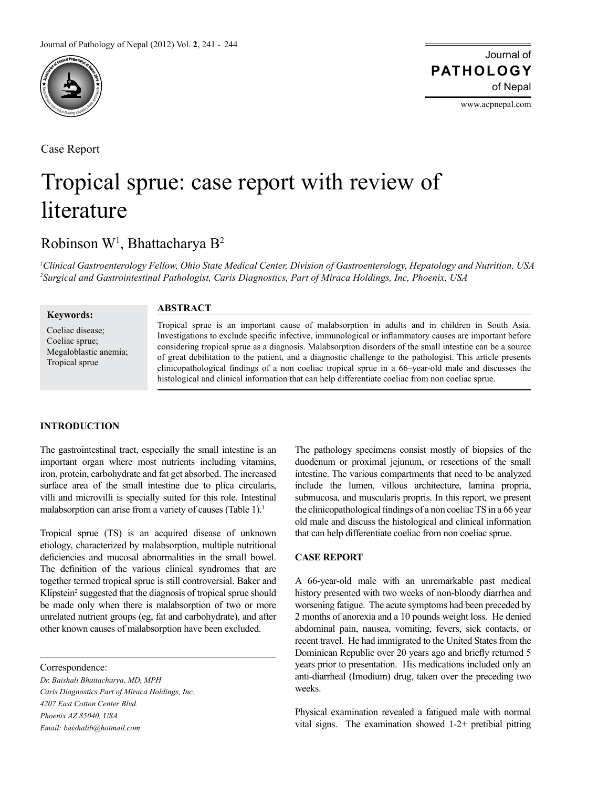

Case Report

# Journal of of Nepal **PATHOLOGY**

www.acpnepal.com

# Tropical sprue: case report with review of literature

# Robinson W<sup>1</sup>, Bhattacharya B<sup>2</sup>

*1 Clinical Gastroenterology Fellow, Ohio State Medical Center, Division of Gastroenterology, Hepatology and Nutrition, USA 2 Surgical and Gastrointestinal Pathologist, Caris Diagnostics, Part of Miraca Holdings, Inc, Phoenix, USA*

**Keywords:**

Coeliac disease; Coeliac sprue; Megaloblastic anemia; Tropical sprue

# **ABSTRACT**

Tropical sprue is an important cause of malabsorption in adults and in children in South Asia. Investigations to exclude specific infective, immunological or inflammatory causes are important before considering tropical sprue as a diagnosis. Malabsorption disorders of the small intestine can be a source of great debilitation to the patient, and a diagnostic challenge to the pathologist. This article presents clinicopathological findings of a non coeliac tropical sprue in a 66–year-old male and discusses the histological and clinical information that can help differentiate coeliac from non coeliac sprue.

# **INTRODUCTION**

The gastrointestinal tract, especially the small intestine is an important organ where most nutrients including vitamins, iron, protein, carbohydrate and fat get absorbed. The increased surface area of the small intestine due to plica circularis, villi and microvilli is specially suited for this role. Intestinal malabsorption can arise from a variety of causes (Table 1).<sup>1</sup>

Tropical sprue (TS) is an acquired disease of unknown etiology, characterized by malabsorption, multiple nutritional deficiencies and mucosal abnormalities in the small bowel. The definition of the various clinical syndromes that are together termed tropical sprue is still controversial. Baker and Klipstein<sup>2</sup> suggested that the diagnosis of tropical sprue should be made only when there is malabsorption of two or more unrelated nutrient groups (eg, fat and carbohydrate), and after other known causes of malabsorption have been excluded.

Correspondence:

*Dr. Baishali Bhattacharya, MD, MPH Caris Diagnostics Part of Miraca Holdings, Inc. 4207 East Cotton Center Blvd. Phoenix AZ 85040, USA Email: baishalib@hotmail.com*

The pathology specimens consist mostly of biopsies of the duodenum or proximal jejunum, or resections of the small intestine. The various compartments that need to be analyzed include the lumen, villous architecture, lamina propria, submucosa, and muscularis propris. In this report, we present the clinicopathological findings of a non coeliac TS in a 66 year old male and discuss the histological and clinical information that can help differentiate coeliac from non coeliac sprue.

# **CASE REPORT**

A 66-year-old male with an unremarkable past medical history presented with two weeks of non-bloody diarrhea and worsening fatigue. The acute symptoms had been preceded by 2 months of anorexia and a 10 pounds weight loss. He denied abdominal pain, nausea, vomiting, fevers, sick contacts, or recent travel. He had immigrated to the United States from the Dominican Republic over 20 years ago and briefly returned 5 years prior to presentation. His medications included only an anti-diarrheal (Imodium) drug, taken over the preceding two weeks.

Physical examination revealed a fatigued male with normal vital signs. The examination showed 1-2+ pretibial pitting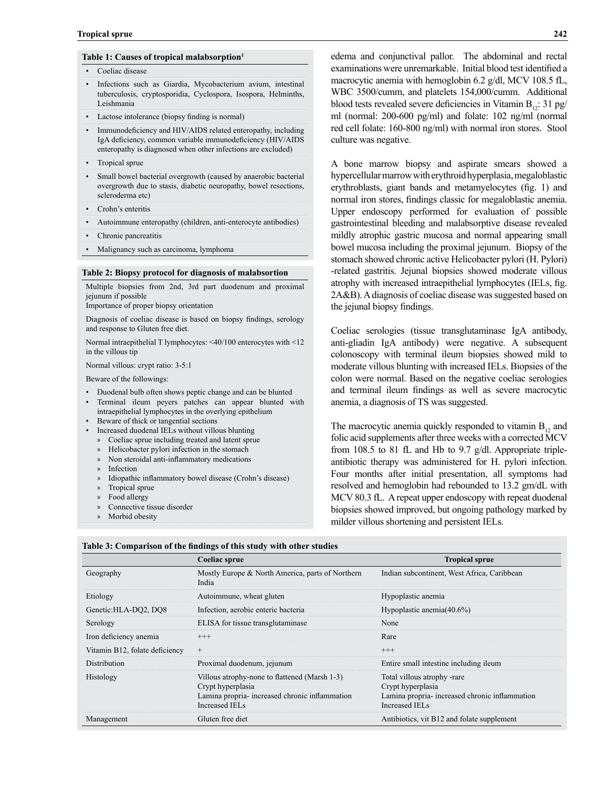#### **Table 1: Causes of tropical malabsorption1**

- Coeliac disease
- Infections such as Giardia, Mycobacterium avium, intestinal tuberculosis, cryptosporidia, Cyclospora, Isospora, Helminths, Leishmania
- Lactose intolerance (biopsy finding is normal)
- Immunodeficiency and HIV/AIDS related enteropathy, including IgA deficiency, common variable immunodeficiency (HIV/AIDS enteropathy is diagnosed when other infections are excluded)
- Tropical sprue
- Small bowel bacterial overgrowth (caused by anaerobic bacterial overgrowth due to stasis, diabetic neuropathy, bowel resections, scleroderma etc)
- Crohn's enteritis
- Autoimmune enteropathy (children, anti-enterocyte antibodies)
- Chronic pancreatitis
- Malignancy such as carcinoma, lymphoma

#### **Table 2: Biopsy protocol for diagnosis of malabsortion**

Multiple biopsies from 2nd, 3rd part duodenum and proximal jejunum if possible

Importance of proper biopsy orientation

Diagnosis of coeliac disease is based on biopsy findings, serology and response to Gluten free diet.

Normal intraepithelial T lymphocytes: <40/100 enterocytes with <12 in the villous tip

Normal villous: crypt ratio: 3-5:1

Beware of the followings:

- Duodenal bulb often shows peptic change and can be blunted
- Terminal ileum peyers patches can appear blunted with
- intraepithelial lymphocytes in the overlying epithelium
- Beware of thick or tangential sections
- Increased duodenal IELs without villous blunting
	- » Coeliac sprue including treated and latent sprue
	- » Helicobacter pylori infection in the stomach
	- » Non steroidal anti-inflammatory medications
	- **Infection**
	- » Idiopathic inflammatory bowel disease (Crohn's disease)
	- » Tropical sprue
	- » Food allergy
	- Connective tissue disorder
	- » Morbid obesity

edema and conjunctival pallor. The abdominal and rectal examinations were unremarkable. Initial blood test identified a macrocytic anemia with hemoglobin 6.2 g/dl, MCV 108.5 fL, WBC 3500/cumm, and platelets 154,000/cumm. Additional blood tests revealed severe deficiencies in Vitamin  $B_{12}$ : 31 pg/ ml (normal: 200-600 pg/ml) and folate: 102 ng/ml (normal red cell folate: 160-800 ng/ml) with normal iron stores. Stool culture was negative.

A bone marrow biopsy and aspirate smears showed a hypercellular marrow with erythroid hyperplasia, megaloblastic erythroblasts, giant bands and metamyelocytes (fig. 1) and normal iron stores, findings classic for megaloblastic anemia. Upper endoscopy performed for evaluation of possible gastrointestinal bleeding and malabsorptive disease revealed mildly atrophic gastric mucosa and normal appearing small bowel mucosa including the proximal jejunum. Biopsy of the stomach showed chronic active Helicobacter pylori (H. Pylori) -related gastritis. Jejunal biopsies showed moderate villous atrophy with increased intraepithelial lymphocytes (IELs, fig. 2A&B). A diagnosis of coeliac disease was suggested based on the jejunal biopsy findings.

Coeliac serologies (tissue transglutaminase IgA antibody, anti-gliadin IgA antibody) were negative. A subsequent colonoscopy with terminal ileum biopsies showed mild to moderate villous blunting with increased IELs. Biopsies of the colon were normal. Based on the negative coeliac serologies and terminal ileum findings as well as severe macrocytic anemia, a diagnosis of TS was suggested.

The macrocytic anemia quickly responded to vitamin  $B_{12}$  and folic acid supplements after three weeks with a corrected MCV from 108.5 to 81 fL and Hb to 9.7 g/dl. Appropriate tripleantibiotic therapy was administered for H. pylori infection. Four months after initial presentation, all symptoms had resolved and hemoglobin had rebounded to 13.2 gm/dL with MCV 80.3 fL. A repeat upper endoscopy with repeat duodenal biopsies showed improved, but ongoing pathology marked by milder villous shortening and persistent IELs.

|                                | Coeliac sprue                                                                                                                                | <b>Tropical sprue</b>                                                                                               |
|--------------------------------|----------------------------------------------------------------------------------------------------------------------------------------------|---------------------------------------------------------------------------------------------------------------------|
| Geography                      | Mostly Europe & North America, parts of Northern<br>India                                                                                    | Indian subcontinent, West Africa, Caribbean                                                                         |
| Etiology                       | Autoimmune, wheat gluten                                                                                                                     | Hypoplastic anemia                                                                                                  |
| Genetic: HLA-DO2, DO8          | Infection, aerobic enteric bacteria                                                                                                          | Hypoplastic anemia $(40.6\%)$                                                                                       |
| Serology                       | ELISA for tissue transglutaminase                                                                                                            | None                                                                                                                |
| Iron deficiency anemia         | $^{+++}$                                                                                                                                     | Rare                                                                                                                |
| Vitamin B12, folate deficiency | $^{+}$                                                                                                                                       | $^{+++}$                                                                                                            |
| <b>Distribution</b>            | Proximal duodenum, jejunum                                                                                                                   | Entire small intestine including ileum                                                                              |
| Histology                      | Villous atrophy-none to flattened (Marsh 1-3)<br>Crypt hyperplasia<br>Lamina propria-increased chronic inflammation<br><b>Increased IELs</b> | Total villous atrophy -rare<br>Crypt hyperplasia<br>Lamina propria-increased chronic inflammation<br>Increased IELs |
| Management                     | Gluten free diet                                                                                                                             | Antibiotics, vit B12 and folate supplement                                                                          |

**Table 3: Comparison of the findings of this study with other studies**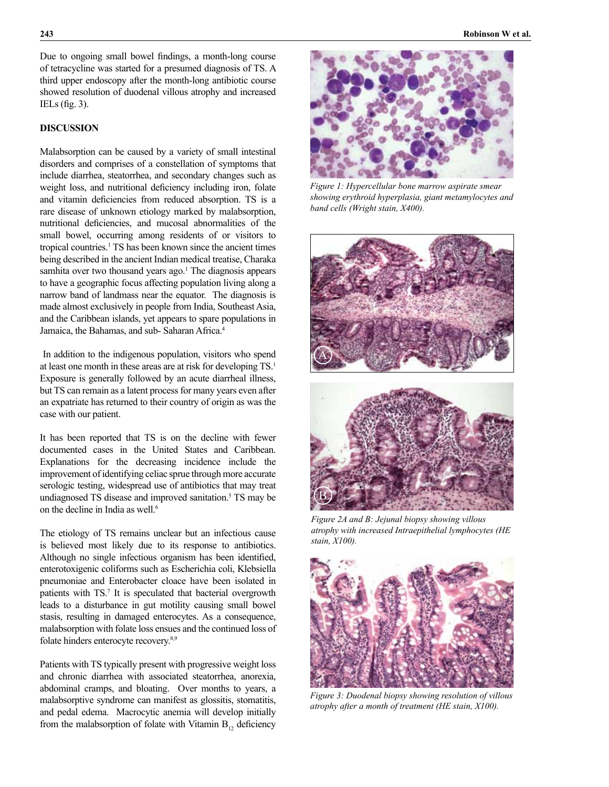Due to ongoing small bowel findings, a month-long course of tetracycline was started for a presumed diagnosis of TS. A third upper endoscopy after the month-long antibiotic course showed resolution of duodenal villous atrophy and increased IELs (fig. 3).

## **DISCUSSION**

Malabsorption can be caused by a variety of small intestinal disorders and comprises of a constellation of symptoms that include diarrhea, steatorrhea, and secondary changes such as weight loss, and nutritional deficiency including iron, folate and vitamin deficiencies from reduced absorption. TS is a rare disease of unknown etiology marked by malabsorption, nutritional deficiencies, and mucosal abnormalities of the small bowel, occurring among residents of or visitors to tropical countries.<sup>1</sup> TS has been known since the ancient times being described in the ancient Indian medical treatise, Charaka samhita over two thousand years ago.<sup>1</sup> The diagnosis appears to have a geographic focus affecting population living along a narrow band of landmass near the equator. The diagnosis is made almost exclusively in people from India, Southeast Asia, and the Caribbean islands, yet appears to spare populations in Jamaica, the Bahamas, and sub- Saharan Africa.4

 In addition to the indigenous population, visitors who spend at least one month in these areas are at risk for developing TS.1 Exposure is generally followed by an acute diarrheal illness, but TS can remain as a latent process for many years even after an expatriate has returned to their country of origin as was the case with our patient.

It has been reported that TS is on the decline with fewer documented cases in the United States and Caribbean. Explanations for the decreasing incidence include the improvement of identifying celiac sprue through more accurate serologic testing, widespread use of antibiotics that may treat undiagnosed TS disease and improved sanitation.<sup>5</sup> TS may be on the decline in India as well.6

The etiology of TS remains unclear but an infectious cause is believed most likely due to its response to antibiotics. Although no single infectious organism has been identified, enterotoxigenic coliforms such as Escherichia coli, Klebsiella pneumoniae and Enterobacter cloace have been isolated in patients with TS.<sup>7</sup> It is speculated that bacterial overgrowth leads to a disturbance in gut motility causing small bowel stasis, resulting in damaged enterocytes. As a consequence, malabsorption with folate loss ensues and the continued loss of folate hinders enterocyte recovery.8,9

Patients with TS typically present with progressive weight loss and chronic diarrhea with associated steatorrhea, anorexia, abdominal cramps, and bloating. Over months to years, a malabsorptive syndrome can manifest as glossitis, stomatitis, and pedal edema. Macrocytic anemia will develop initially from the malabsorption of folate with Vitamin  $B_{12}$ , deficiency



*Figure 1: Hypercellular bone marrow aspirate smear showing erythroid hyperplasia, giant metamylocytes and band cells (Wright stain, X400).*



*Figure 2A and B: Jejunal biopsy showing villous atrophy with increased Intraepithelial lymphocytes (HE stain, X100).*



*Figure 3: Duodenal biopsy showing resolution of villous atrophy after a month of treatment (HE stain, X100).*